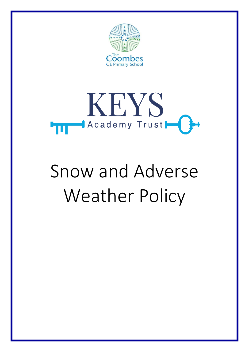



# Snow and Adverse Weather Policy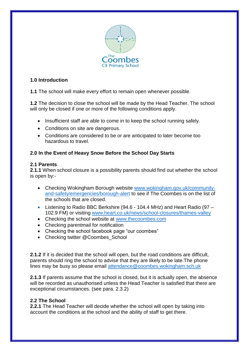

# **1.0 Introduction**

**1.1** The school will make every effort to remain open whenever possible.

**1.2** The decision to close the school will be made by the Head Teacher. The school will only be closed if one or more of the following conditions apply.

- Insufficient staff are able to come in to keep the school running safely.
- Conditions on site are dangerous.
- Conditions are considered to be or are anticipated to later become too hazardous to travel.

# **2.0 In the Event of Heavy Snow Before the School Day Starts**

#### **2.1 Parents**

**2.1.1** When school closure is a possibility parents should find out whether the school is open by:-

- Checking Wokingham Borough website [www.wokingham.gov.uk/community](http://www.wokingham.gov.uk/community-and-safety/emergencies/borough-alert)[and-safety/emergencies/borough-alert](http://www.wokingham.gov.uk/community-and-safety/emergencies/borough-alert) to see if The Coombes is on the list of the schools that are closed.
- Listening to Radio BBC Berkshire (94.6 104.4 MHz) and Heart Radio (97 102.9 FM) or visiting [www.heart.co.uk/news/school-closures/thames-valley](http://www.heart.co.uk/news/school-closures/thames-valley)
- Checking the school website at [www.thecoombes.com](http://www.thecoombes.com/)
- Checking parentmail for notification
- Checking the school facebook page "our coombes"
- Checking twitter @Coombes\_School

**2.1.2** If it is decided that the school will open, but the road conditions are difficult, parents should ring the school to advise that they are likely to be late.The phone lines may be busy so please email [attendance@coombes.wokingham.sch.uk](mailto:attendance@coombes.wokingham.sch.uk)

**2.1.3** If parents assume that the school is closed, but it is actually open, the absence will be recorded as unauthorised unless the Head Teacher is satisfied that there are exceptional circumstances. (see para. 2.3.2)

# **2.2 The School**

**2.2.1** The Head Teacher will decide whether the school will open by taking into account the conditions at the school and the ability of staff to get there.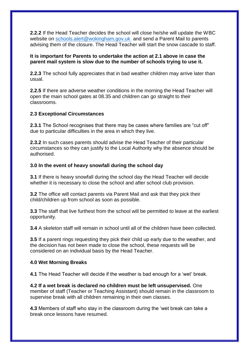**2.2.2** If the Head Teacher decides the school will close he/she will update the WBC website on [schools.alert@wokingham.gov.uk](mailto:schools.alert@wokingham.gov.uk) and send a Parent Mail to parents advising them of the closure. The Head Teacher will start the snow cascade to staff.

#### **It is important for Parents to undertake the action at 2.1 above in case the parent mail system is slow due to the number of schools trying to use it.**

**2.2.3** The school fully appreciates that in bad weather children may arrive later than usual.

**2.2.5** If there are adverse weather conditions in the morning the Head Teacher will open the main school gates at 08.35 and children can go straight to their classrooms.

#### **2.3 Exceptional Circumstances**

**2.3.1** The School recognises that there may be cases where families are "cut off" due to particular difficulties in the area in which they live.

**2.3.2** In such cases parents should advise the Head Teacher of their particular circumstances so they can justify to the Local Authority why the absence should be authorised.

#### **3.0 In the event of heavy snowfall during the school day**

**3.1** If there is heavy snowfall during the school day the Head Teacher will decide whether it is necessary to close the school and after school club provision.

**3.2** The office will contact parents via Parent Mail and ask that they pick their child/children up from school as soon as possible.

**3.3** The staff that live furthest from the school will be permitted to leave at the earliest opportunity.

**3.4** A skeleton staff will remain in school until all of the children have been collected.

**3.5** If a parent rings requesting they pick their child up early due to the weather, and the decision has not been made to close the school, these requests will be considered on an individual basis by the Head Teacher.

# **4.0 Wet Morning Breaks**

**4.1** The Head Teacher will decide if the weather is bad enough for a 'wet' break.

**4.2 If a wet break is declared no children must be left unsupervised.** One member of staff (Teacher or Teaching Assistant) should remain in the classroom to supervise break with all children remaining in their own classes.

**4.3** Members of staff who stay in the classroom during the 'wet break can take a break once lessons have resumed.